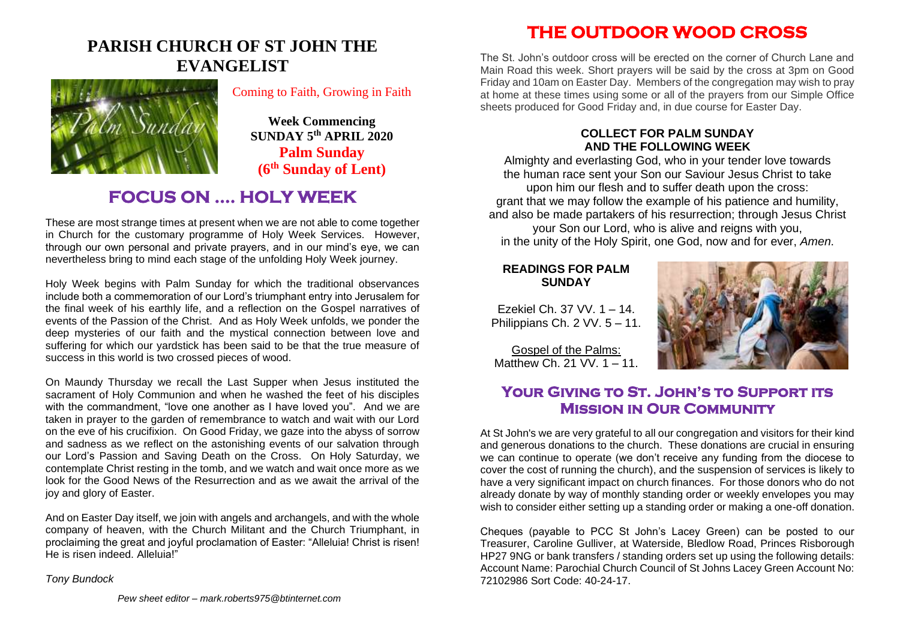## **PARISH CHURCH OF ST JOHN THE EVANGELIST**



Coming to Faith, Growing in Faith

**Week Commencing SUNDAY 5 th APRIL 2020 Palm Sunday (6th Sunday of Lent)**

## **FOCUS ON …. HOLY WEEK**

These are most strange times at present when we are not able to come together in Church for the customary programme of Holy Week Services. However, through our own personal and private prayers, and in our mind's eye, we can nevertheless bring to mind each stage of the unfolding Holy Week journey.

Holy Week begins with Palm Sunday for which the traditional observances include both a commemoration of our Lord's triumphant entry into Jerusalem for the final week of his earthly life, and a reflection on the Gospel narratives of events of the Passion of the Christ. And as Holy Week unfolds, we ponder the deep mysteries of our faith and the mystical connection between love and suffering for which our yardstick has been said to be that the true measure of success in this world is two crossed pieces of wood.

On Maundy Thursday we recall the Last Supper when Jesus instituted the sacrament of Holy Communion and when he washed the feet of his disciples with the commandment, "love one another as I have loved you". And we are taken in prayer to the garden of remembrance to watch and wait with our Lord on the eve of his crucifixion. On Good Friday, we gaze into the abyss of sorrow and sadness as we reflect on the astonishing events of our salvation through our Lord's Passion and Saving Death on the Cross. On Holy Saturday, we contemplate Christ resting in the tomb, and we watch and wait once more as we look for the Good News of the Resurrection and as we await the arrival of the joy and glory of Easter.

And on Easter Day itself, we join with angels and archangels, and with the whole company of heaven, with the Church Militant and the Church Triumphant, in proclaiming the great and joyful proclamation of Easter: "Alleluia! Christ is risen! He is risen indeed. Alleluia!"

*Tony Bundock*

**THE OUTDOOR WOOD CROSS** 

The St. John's outdoor cross will be erected on the corner of Church Lane and Main Road this week. Short prayers will be said by the cross at 3pm on Good Friday and 10am on Easter Day. Members of the congregation may wish to pray at home at these times using some or all of the prayers from our Simple Office sheets produced for Good Friday and, in due course for Easter Day.

#### **COLLECT FOR PALM SUNDAY AND THE FOLLOWING WEEK**

Almighty and everlasting God, who in your tender love towards the human race sent your Son our Saviour Jesus Christ to take upon him our flesh and to suffer death upon the cross: grant that we may follow the example of his patience and humility, and also be made partakers of his resurrection; through Jesus Christ your Son our Lord, who is alive and reigns with you, in the unity of the Holy Spirit, one God, now and for ever, *Amen*.

#### **READINGS FOR PALM SUNDAY**

Ezekiel Ch. 37 VV. 1 – 14. Philippians Ch. 2 VV. 5 – 11.

Gospel of the Palms: Matthew Ch. 21 VV. 1 – 11.



### **Your Giving to St. John's to Support its Mission in Our Community**

At St John's we are very grateful to all our congregation and visitors for their kind and generous donations to the church. These donations are crucial in ensuring we can continue to operate (we don't receive any funding from the diocese to cover the cost of running the church), and the suspension of services is likely to have a very significant impact on church finances. For those donors who do not already donate by way of monthly standing order or weekly envelopes you may wish to consider either setting up a standing order or making a one-off donation.

Cheques (payable to PCC St John's Lacey Green) can be posted to our Treasurer, Caroline Gulliver, at Waterside, Bledlow Road, Princes Risborough HP27 9NG or bank transfers / standing orders set up using the following details: Account Name: Parochial Church Council of St Johns Lacey Green Account No: 72102986 Sort Code: 40-24-17.